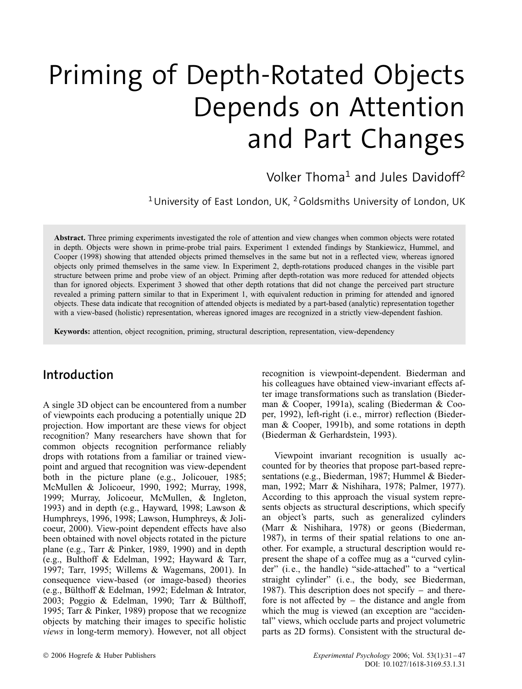# Priming of Depth-Rotated Objects Depends on Attention and Part Changes

Volker Thoma<sup>1</sup> and Jules Davidoff<sup>2</sup>

<sup>1</sup> University of East London, UK,  $2$  Goldsmiths University of London, UK

**Abstract.** Three priming experiments investigated the role of attention and view changes when common objects were rotated in depth. Objects were shown in prime-probe trial pairs. Experiment 1 extended findings by Stankiewicz, Hummel, and Cooper (1998) showing that attended objects primed themselves in the same but not in a reflected view, whereas ignored objects only primed themselves in the same view. In Experiment 2, depth-rotations produced changes in the visible part structure between prime and probe view of an object. Priming after depth-rotation was more reduced for attended objects than for ignored objects. Experiment 3 showed that other depth rotations that did not change the perceived part structure revealed a priming pattern similar to that in Experiment 1, with equivalent reduction in priming for attended and ignored objects. These data indicate that recognition of attended objects is mediated by a part-based (analytic) representation together with a view-based (holistic) representation, whereas ignored images are recognized in a strictly view-dependent fashion.

**Keywords:** attention, object recognition, priming, structural description, representation, view-dependency

# **Introduction**

A single 3D object can be encountered from a number of viewpoints each producing a potentially unique 2D projection. How important are these views for object recognition? Many researchers have shown that for common objects recognition performance reliably drops with rotations from a familiar or trained viewpoint and argued that recognition was view-dependent both in the picture plane (e.g., Jolicouer, 1985; McMullen & Jolicoeur, 1990, 1992; Murray, 1998, 1999; Murray, Jolicoeur, McMullen, & Ingleton, 1993) and in depth (e.g., Hayward, 1998; Lawson & Humphreys, 1996, 1998; Lawson, Humphreys, & Jolicoeur, 2000). View-point dependent effects have also been obtained with novel objects rotated in the picture plane (e.g., Tarr & Pinker, 1989, 1990) and in depth (e.g., Bulthoff & Edelman, 1992; Hayward & Tarr, 1997; Tarr, 1995; Willems & Wagemans, 2001). In consequence view-based (or image-based) theories (e.g., Bülthoff & Edelman, 1992; Edelman & Intrator, 2003; Poggio & Edelman, 1990; Tarr & Bülthoff, 1995; Tarr & Pinker, 1989) propose that we recognize objects by matching their images to specific holistic *views* in long-term memory). However, not all object recognition is viewpoint-dependent. Biederman and his colleagues have obtained view-invariant effects after image transformations such as translation (Biederman & Cooper, 1991a), scaling (Biederman & Cooper, 1992), left-right (i. e., mirror) reflection (Biederman & Cooper, 1991b), and some rotations in depth (Biederman & Gerhardstein, 1993).

Viewpoint invariant recognition is usually accounted for by theories that propose part-based representations (e.g., Biederman, 1987; Hummel & Biederman, 1992; Marr & Nishihara, 1978; Palmer, 1977). According to this approach the visual system represents objects as structural descriptions, which specify an object's parts, such as generalized cylinders (Marr & Nishihara, 1978) or geons (Biederman, 1987), in terms of their spatial relations to one another. For example, a structural description would represent the shape of a coffee mug as a "curved cylinder" (i. e., the handle) "side-attached" to a "vertical straight cylinder" (i. e., the body, see Biederman, 1987). This description does not specify  $-$  and therefore is not affected by  $-$  the distance and angle from which the mug is viewed (an exception are "accidental" views, which occlude parts and project volumetric parts as 2D forms). Consistent with the structural de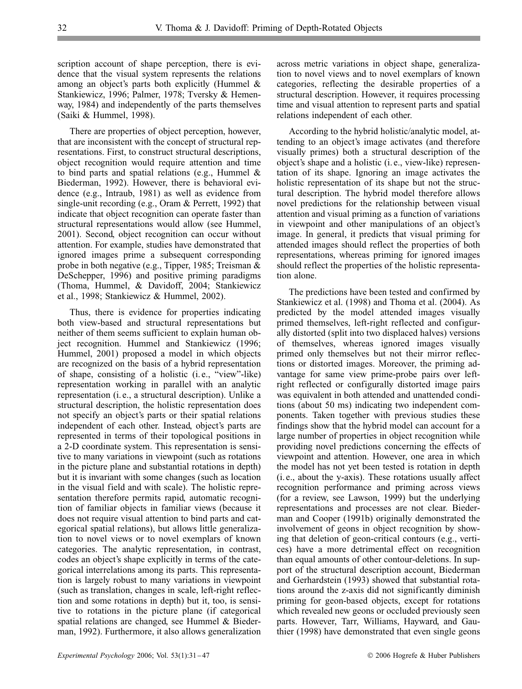scription account of shape perception, there is evidence that the visual system represents the relations among an object's parts both explicitly (Hummel & Stankiewicz, 1996; Palmer, 1978; Tversky & Hemenway, 1984) and independently of the parts themselves (Saiki & Hummel, 1998).

There are properties of object perception, however, that are inconsistent with the concept of structural representations. First, to construct structural descriptions, object recognition would require attention and time to bind parts and spatial relations (e.g., Hummel & Biederman, 1992). However, there is behavioral evidence (e.g., Intraub, 1981) as well as evidence from single-unit recording (e.g., Oram & Perrett, 1992) that indicate that object recognition can operate faster than structural representations would allow (see Hummel, 2001). Second, object recognition can occur without attention. For example, studies have demonstrated that ignored images prime a subsequent corresponding probe in both negative (e.g., Tipper, 1985; Treisman & DeSchepper, 1996) and positive priming paradigms (Thoma, Hummel, & Davidoff, 2004; Stankiewicz et al., 1998; Stankiewicz & Hummel, 2002).

Thus, there is evidence for properties indicating both view-based and structural representations but neither of them seems sufficient to explain human object recognition. Hummel and Stankiewicz (1996; Hummel, 2001) proposed a model in which objects are recognized on the basis of a hybrid representation of shape, consisting of a holistic (i. e., "view"-like) representation working in parallel with an analytic representation (i. e., a structural description). Unlike a structural description, the holistic representation does not specify an object's parts or their spatial relations independent of each other. Instead, object's parts are represented in terms of their topological positions in a 2-D coordinate system. This representation is sensitive to many variations in viewpoint (such as rotations in the picture plane and substantial rotations in depth) but it is invariant with some changes (such as location in the visual field and with scale). The holistic representation therefore permits rapid, automatic recognition of familiar objects in familiar views (because it does not require visual attention to bind parts and categorical spatial relations), but allows little generalization to novel views or to novel exemplars of known categories. The analytic representation, in contrast, codes an object's shape explicitly in terms of the categorical interrelations among its parts. This representation is largely robust to many variations in viewpoint (such as translation, changes in scale, left-right reflection and some rotations in depth) but it, too, is sensitive to rotations in the picture plane (if categorical spatial relations are changed, see Hummel & Biederman, 1992). Furthermore, it also allows generalization

across metric variations in object shape, generalization to novel views and to novel exemplars of known categories, reflecting the desirable properties of a structural description. However, it requires processing time and visual attention to represent parts and spatial relations independent of each other.

According to the hybrid holistic/analytic model, attending to an object's image activates (and therefore visually primes) both a structural description of the object's shape and a holistic (i. e., view-like) representation of its shape. Ignoring an image activates the holistic representation of its shape but not the structural description. The hybrid model therefore allows novel predictions for the relationship between visual attention and visual priming as a function of variations in viewpoint and other manipulations of an object's image. In general, it predicts that visual priming for attended images should reflect the properties of both representations, whereas priming for ignored images should reflect the properties of the holistic representation alone.

The predictions have been tested and confirmed by Stankiewicz et al. (1998) and Thoma et al. (2004). As predicted by the model attended images visually primed themselves, left-right reflected and configurally distorted (split into two displaced halves) versions of themselves, whereas ignored images visually primed only themselves but not their mirror reflections or distorted images. Moreover, the priming advantage for same view prime-probe pairs over leftright reflected or configurally distorted image pairs was equivalent in both attended and unattended conditions (about 50 ms) indicating two independent components. Taken together with previous studies these findings show that the hybrid model can account for a large number of properties in object recognition while providing novel predictions concerning the effects of viewpoint and attention. However, one area in which the model has not yet been tested is rotation in depth (i. e., about the y-axis). These rotations usually affect recognition performance and priming across views (for a review, see Lawson, 1999) but the underlying representations and processes are not clear. Biederman and Cooper (1991b) originally demonstrated the involvement of geons in object recognition by showing that deletion of geon-critical contours (e.g., vertices) have a more detrimental effect on recognition than equal amounts of other contour-deletions. In support of the structural description account, Biederman and Gerhardstein (1993) showed that substantial rotations around the z-axis did not significantly diminish priming for geon-based objects, except for rotations which revealed new geons or occluded previously seen parts. However, Tarr, Williams, Hayward, and Gauthier (1998) have demonstrated that even single geons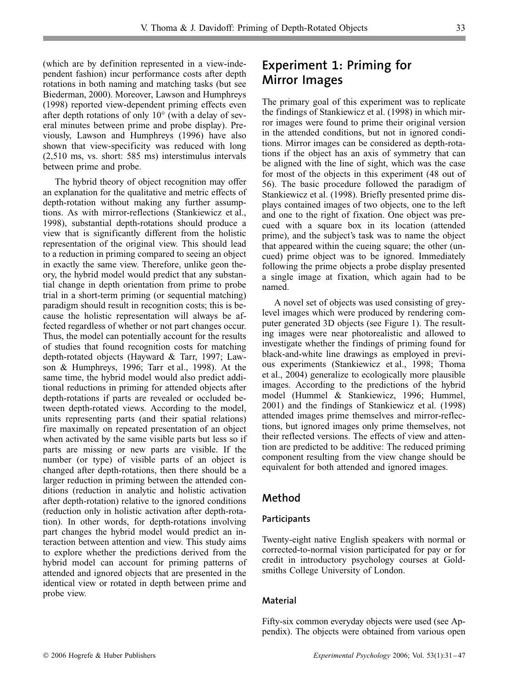(which are by definition represented in a view-independent fashion) incur performance costs after depth rotations in both naming and matching tasks (but see Biederman, 2000). Moreover, Lawson and Humphreys (1998) reported view-dependent priming effects even after depth rotations of only 10∞ (with a delay of several minutes between prime and probe display). Previously, Lawson and Humphreys (1996) have also shown that view-specificity was reduced with long (2,510 ms, vs. short: 585 ms) interstimulus intervals between prime and probe.

The hybrid theory of object recognition may offer an explanation for the qualitative and metric effects of depth-rotation without making any further assumptions. As with mirror-reflections (Stankiewicz et al., 1998), substantial depth-rotations should produce a view that is significantly different from the holistic representation of the original view. This should lead to a reduction in priming compared to seeing an object in exactly the same view. Therefore, unlike geon theory, the hybrid model would predict that any substantial change in depth orientation from prime to probe trial in a short-term priming (or sequential matching) paradigm should result in recognition costs; this is because the holistic representation will always be affected regardless of whether or not part changes occur. Thus, the model can potentially account for the results of studies that found recognition costs for matching depth-rotated objects (Hayward & Tarr, 1997; Lawson & Humphreys, 1996; Tarr et al., 1998). At the same time, the hybrid model would also predict additional reductions in priming for attended objects after depth-rotations if parts are revealed or occluded between depth-rotated views. According to the model, units representing parts (and their spatial relations) fire maximally on repeated presentation of an object when activated by the same visible parts but less so if parts are missing or new parts are visible. If the number (or type) of visible parts of an object is changed after depth-rotations, then there should be a larger reduction in priming between the attended conditions (reduction in analytic and holistic activation after depth-rotation) relative to the ignored conditions (reduction only in holistic activation after depth-rotation). In other words, for depth-rotations involving part changes the hybrid model would predict an interaction between attention and view. This study aims to explore whether the predictions derived from the hybrid model can account for priming patterns of attended and ignored objects that are presented in the identical view or rotated in depth between prime and probe view.

# **Experiment 1: Priming for Mirror Images**

The primary goal of this experiment was to replicate the findings of Stankiewicz et al. (1998) in which mirror images were found to prime their original version in the attended conditions, but not in ignored conditions. Mirror images can be considered as depth-rotations if the object has an axis of symmetry that can be aligned with the line of sight, which was the case for most of the objects in this experiment (48 out of 56). The basic procedure followed the paradigm of Stankiewicz et al. (1998). Briefly presented prime displays contained images of two objects, one to the left and one to the right of fixation. One object was precued with a square box in its location (attended prime), and the subject's task was to name the object that appeared within the cueing square; the other (uncued) prime object was to be ignored. Immediately following the prime objects a probe display presented a single image at fixation, which again had to be named.

A novel set of objects was used consisting of greylevel images which were produced by rendering computer generated 3D objects (see Figure 1). The resulting images were near photorealistic and allowed to investigate whether the findings of priming found for black-and-white line drawings as employed in previous experiments (Stankiewicz et al., 1998; Thoma et al., 2004) generalize to ecologically more plausible images. According to the predictions of the hybrid model (Hummel & Stankiewicz, 1996; Hummel, 2001) and the findings of Stankiewicz et al. (1998) attended images prime themselves and mirror-reflections, but ignored images only prime themselves, not their reflected versions. The effects of view and attention are predicted to be additive: The reduced priming component resulting from the view change should be equivalent for both attended and ignored images.

## **Method**

## **Participants**

Twenty-eight native English speakers with normal or corrected-to-normal vision participated for pay or for credit in introductory psychology courses at Goldsmiths College University of London.

## **Material**

Fifty-six common everyday objects were used (see Appendix). The objects were obtained from various open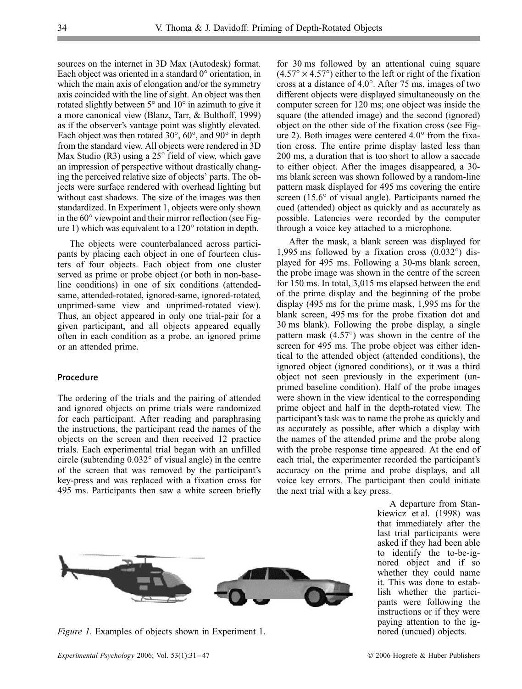sources on the internet in 3D Max (Autodesk) format. Each object was oriented in a standard 0∞ orientation, in which the main axis of elongation and/or the symmetry axis coincided with the line of sight. An object was then rotated slightly between 5∞ and 10∞ in azimuth to give it a more canonical view (Blanz, Tarr, & Bulthoff, 1999) as if the observer's vantage point was slightly elevated. Each object was then rotated  $30^{\circ}$ ,  $60^{\circ}$ , and  $90^{\circ}$  in depth from the standard view. All objects were rendered in 3D Max Studio (R3) using a  $25^{\circ}$  field of view, which gave an impression of perspective without drastically changing the perceived relative size of objects' parts. The objects were surface rendered with overhead lighting but without cast shadows. The size of the images was then standardized. In Experiment 1, objects were only shown in the 60<sup>°</sup> viewpoint and their mirror reflection (see Figure 1) which was equivalent to a 120 $\degree$  rotation in depth.

The objects were counterbalanced across participants by placing each object in one of fourteen clusters of four objects. Each object from one cluster served as prime or probe object (or both in non-baseline conditions) in one of six conditions (attendedsame, attended-rotated, ignored-same, ignored-rotated, unprimed-same view and unprimed-rotated view). Thus, an object appeared in only one trial-pair for a given participant, and all objects appeared equally often in each condition as a probe, an ignored prime or an attended prime.

#### **Procedure**

The ordering of the trials and the pairing of attended and ignored objects on prime trials were randomized for each participant. After reading and paraphrasing the instructions, the participant read the names of the objects on the screen and then received 12 practice trials. Each experimental trial began with an unfilled circle (subtending 0.032∞ of visual angle) in the centre of the screen that was removed by the participant's key-press and was replaced with a fixation cross for 495 ms. Participants then saw a white screen briefly for 30 ms followed by an attentional cuing square  $(4.57° \times 4.57°)$  either to the left or right of the fixation cross at a distance of 4.0∞. After 75 ms, images of two different objects were displayed simultaneously on the computer screen for 120 ms; one object was inside the square (the attended image) and the second (ignored) object on the other side of the fixation cross (see Figure 2). Both images were centered  $4.0^{\circ}$  from the fixation cross. The entire prime display lasted less than 200 ms, a duration that is too short to allow a saccade to either object. After the images disappeared, a 30 ms blank screen was shown followed by a random-line pattern mask displayed for 495 ms covering the entire screen (15.6° of visual angle). Participants named the cued (attended) object as quickly and as accurately as possible. Latencies were recorded by the computer through a voice key attached to a microphone.

After the mask, a blank screen was displayed for 1,995 ms followed by a fixation cross  $(0.032^{\circ})$  displayed for 495 ms. Following a 30-ms blank screen, the probe image was shown in the centre of the screen for 150 ms. In total, 3,015 ms elapsed between the end of the prime display and the beginning of the probe display (495 ms for the prime mask, 1,995 ms for the blank screen, 495 ms for the probe fixation dot and 30 ms blank). Following the probe display, a single pattern mask (4.57∞) was shown in the centre of the screen for 495 ms. The probe object was either identical to the attended object (attended conditions), the ignored object (ignored conditions), or it was a third object not seen previously in the experiment (unprimed baseline condition). Half of the probe images were shown in the view identical to the corresponding prime object and half in the depth-rotated view. The participant's task was to name the probe as quickly and as accurately as possible, after which a display with the names of the attended prime and the probe along with the probe response time appeared. At the end of each trial, the experimenter recorded the participant's accuracy on the prime and probe displays, and all voice key errors. The participant then could initiate the next trial with a key press.

> A departure from Stankiewicz et al. (1998) was that immediately after the last trial participants were asked if they had been able to identify the to-be-ignored object and if so whether they could name it. This was done to establish whether the participants were following the instructions or if they were paying attention to the ignored (uncued) objects.

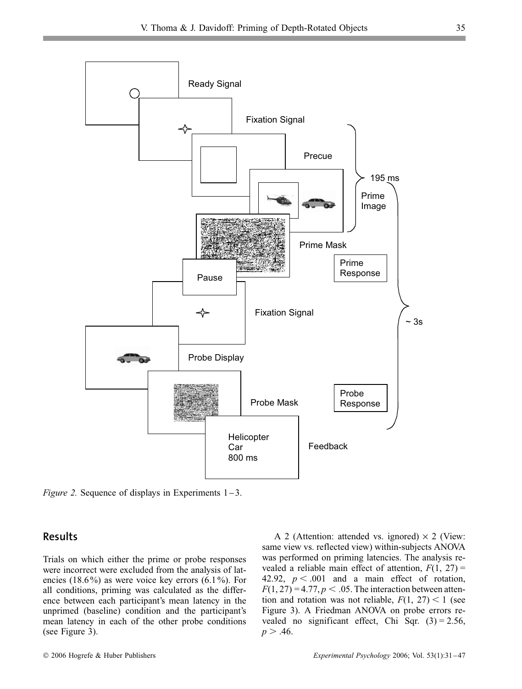

*Figure 2.* Sequence of displays in Experiments  $1-3$ .

## **Results**

Trials on which either the prime or probe responses were incorrect were excluded from the analysis of latencies (18.6%) as were voice key errors (6.1%). For all conditions, priming was calculated as the difference between each participant's mean latency in the unprimed (baseline) condition and the participant's mean latency in each of the other probe conditions (see Figure 3).

A 2 (Attention: attended vs. ignored)  $\times$  2 (View: same view vs. reflected view) within-subjects ANOVA was performed on priming latencies. The analysis revealed a reliable main effect of attention,  $F(1, 27)$  = 42.92,  $p < .001$  and a main effect of rotation,  $F(1, 27) = 4.77, p < .05$ . The interaction between attention and rotation was not reliable,  $F(1, 27) < 1$  (see Figure 3). A Friedman ANOVA on probe errors revealed no significant effect, Chi Sqr.  $(3) = 2.56$ ,  $p > .46$ .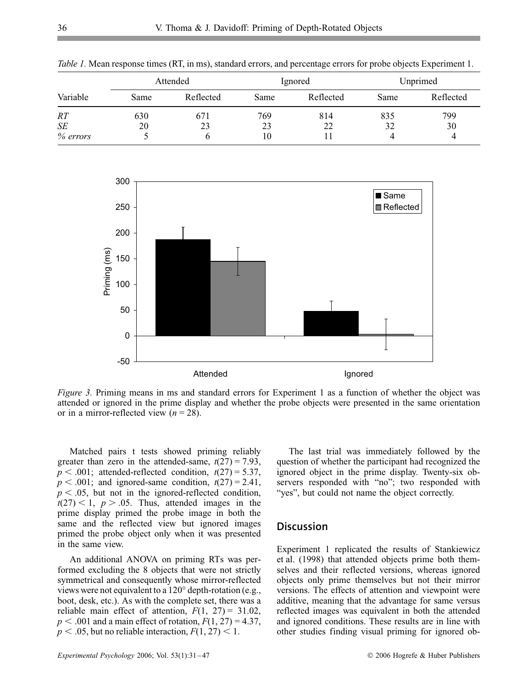|          | Attended |           | Ignored |           | Unprimed |           |
|----------|----------|-----------|---------|-----------|----------|-----------|
| Variable | Same     | Reflected | Same    | Reflected | Same     | Reflected |
| RT       | 630      | 671       | 769     | 814       | 835      | 799       |
| SE       | 20       | 23        | 23      | 22        | 32       | 30        |
| % errors |          |           | 10      |           |          | 4         |

*Table 1.* Mean response times (RT, in ms), standard errors, and percentage errors for probe objects Experiment 1.



*Figure 3.* Priming means in ms and standard errors for Experiment 1 as a function of whether the object was attended or ignored in the prime display and whether the probe objects were presented in the same orientation or in a mirror-reflected view  $(n = 28)$ .

Matched pairs t tests showed priming reliably greater than zero in the attended-same,  $t(27) = 7.93$ ,  $p < .001$ ; attended-reflected condition,  $t(27) = 5.37$ ,  $p < .001$ ; and ignored-same condition,  $t(27) = 2.41$ ,  $p < .05$ , but not in the ignored-reflected condition,  $t(27) < 1$ ,  $p > .05$ . Thus, attended images in the prime display primed the probe image in both the same and the reflected view but ignored images primed the probe object only when it was presented in the same view.

An additional ANOVA on priming RTs was performed excluding the 8 objects that were not strictly symmetrical and consequently whose mirror-reflected views were not equivalent to a 120∞ depth-rotation (e.g., boot, desk, etc.). As with the complete set, there was a reliable main effect of attention,  $F(1, 27) = 31.02$ ,  $p < .001$  and a main effect of rotation,  $F(1, 27) = 4.37$ ,  $p < .05$ , but no reliable interaction,  $F(1, 27) < 1$ .

The last trial was immediately followed by the question of whether the participant had recognized the ignored object in the prime display. Twenty-six observers responded with "no"; two responded with "yes", but could not name the object correctly.

## **Discussion**

Experiment 1 replicated the results of Stankiewicz et al. (1998) that attended objects prime both themselves and their reflected versions, whereas ignored objects only prime themselves but not their mirror versions. The effects of attention and viewpoint were additive, meaning that the advantage for same versus reflected images was equivalent in both the attended and ignored conditions. These results are in line with other studies finding visual priming for ignored ob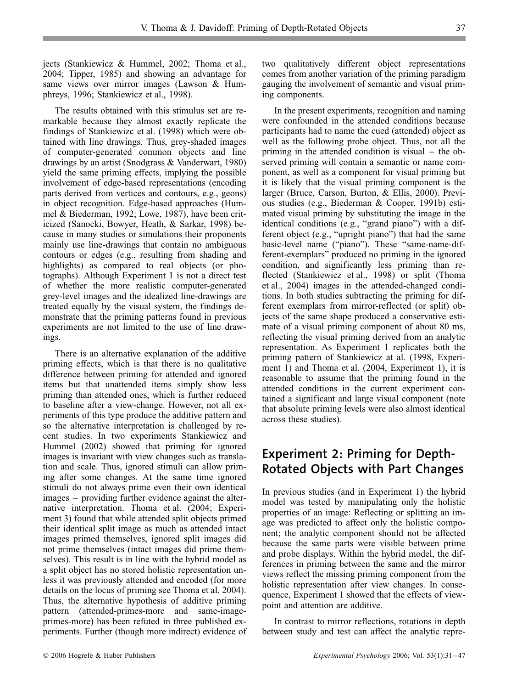jects (Stankiewicz & Hummel, 2002; Thoma et al., 2004; Tipper, 1985) and showing an advantage for same views over mirror images (Lawson & Humphreys, 1996; Stankiewicz et al., 1998).

The results obtained with this stimulus set are remarkable because they almost exactly replicate the findings of Stankiewizc et al. (1998) which were obtained with line drawings. Thus, grey-shaded images of computer-generated common objects and line drawings by an artist (Snodgrass & Vanderwart, 1980) yield the same priming effects, implying the possible involvement of edge-based representations (encoding parts derived from vertices and contours, e.g., geons) in object recognition. Edge-based approaches (Hummel & Biederman, 1992; Lowe, 1987), have been criticized (Sanocki, Bowyer, Heath, & Sarkar, 1998) because in many studies or simulations their proponents mainly use line-drawings that contain no ambiguous contours or edges (e.g., resulting from shading and highlights) as compared to real objects (or photographs). Although Experiment 1 is not a direct test of whether the more realistic computer-generated grey-level images and the idealized line-drawings are treated equally by the visual system, the findings demonstrate that the priming patterns found in previous experiments are not limited to the use of line drawings.

There is an alternative explanation of the additive priming effects, which is that there is no qualitative difference between priming for attended and ignored items but that unattended items simply show less priming than attended ones, which is further reduced to baseline after a view-change. However, not all experiments of this type produce the additive pattern and so the alternative interpretation is challenged by recent studies. In two experiments Stankiewicz and Hummel (2002) showed that priming for ignored images is invariant with view changes such as translation and scale. Thus, ignored stimuli can allow priming after some changes. At the same time ignored stimuli do not always prime even their own identical images – providing further evidence against the alternative interpretation. Thoma et al. (2004; Experiment 3) found that while attended split objects primed their identical split image as much as attended intact images primed themselves, ignored split images did not prime themselves (intact images did prime themselves). This result is in line with the hybrid model as a split object has no stored holistic representation unless it was previously attended and encoded (for more details on the locus of priming see Thoma et al, 2004). Thus, the alternative hypothesis of additive priming pattern (attended-primes-more and same-imageprimes-more) has been refuted in three published experiments. Further (though more indirect) evidence of two qualitatively different object representations comes from another variation of the priming paradigm gauging the involvement of semantic and visual priming components.

In the present experiments, recognition and naming were confounded in the attended conditions because participants had to name the cued (attended) object as well as the following probe object. Thus, not all the priming in the attended condition is visual  $-$  the observed priming will contain a semantic or name component, as well as a component for visual priming but it is likely that the visual priming component is the larger (Bruce, Carson, Burton, & Ellis, 2000). Previous studies (e.g., Biederman & Cooper, 1991b) estimated visual priming by substituting the image in the identical conditions (e.g., "grand piano") with a different object (e.g., "upright piano") that had the same basic-level name ("piano"). These "same-name-different-exemplars" produced no priming in the ignored condition, and significantly less priming than reflected (Stankiewicz et al., 1998) or split (Thoma et al., 2004) images in the attended-changed conditions. In both studies subtracting the priming for different exemplars from mirror-reflected (or split) objects of the same shape produced a conservative estimate of a visual priming component of about 80 ms, reflecting the visual priming derived from an analytic representation. As Experiment 1 replicates both the priming pattern of Stankiewicz at al. (1998, Experiment 1) and Thoma et al. (2004, Experiment 1), it is reasonable to assume that the priming found in the attended conditions in the current experiment contained a significant and large visual component (note that absolute priming levels were also almost identical across these studies).

# **Experiment 2: Priming for Depth-Rotated Objects with Part Changes**

In previous studies (and in Experiment 1) the hybrid model was tested by manipulating only the holistic properties of an image: Reflecting or splitting an image was predicted to affect only the holistic component; the analytic component should not be affected because the same parts were visible between prime and probe displays. Within the hybrid model, the differences in priming between the same and the mirror views reflect the missing priming component from the holistic representation after view changes. In consequence, Experiment 1 showed that the effects of viewpoint and attention are additive.

In contrast to mirror reflections, rotations in depth between study and test can affect the analytic repre-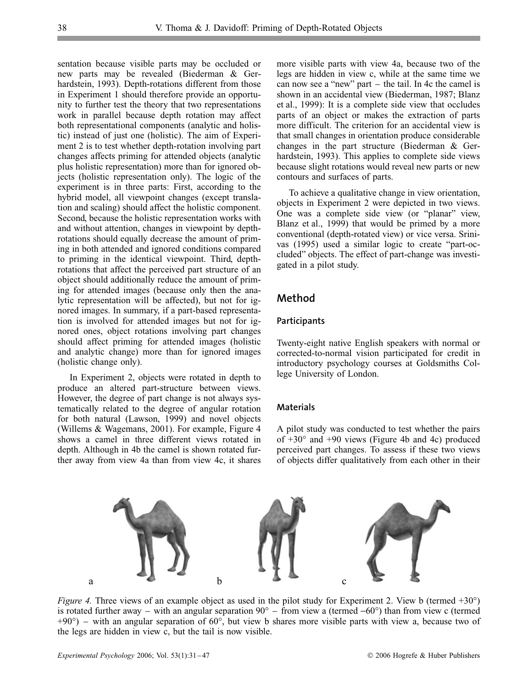sentation because visible parts may be occluded or new parts may be revealed (Biederman & Gerhardstein, 1993). Depth-rotations different from those in Experiment 1 should therefore provide an opportunity to further test the theory that two representations work in parallel because depth rotation may affect both representational components (analytic and holistic) instead of just one (holistic). The aim of Experiment 2 is to test whether depth-rotation involving part changes affects priming for attended objects (analytic plus holistic representation) more than for ignored objects (holistic representation only). The logic of the experiment is in three parts: First, according to the hybrid model, all viewpoint changes (except translation and scaling) should affect the holistic component. Second, because the holistic representation works with and without attention, changes in viewpoint by depthrotations should equally decrease the amount of priming in both attended and ignored conditions compared to priming in the identical viewpoint. Third, depthrotations that affect the perceived part structure of an object should additionally reduce the amount of priming for attended images (because only then the analytic representation will be affected), but not for ignored images. In summary, if a part-based representation is involved for attended images but not for ignored ones, object rotations involving part changes should affect priming for attended images (holistic and analytic change) more than for ignored images (holistic change only).

In Experiment 2, objects were rotated in depth to produce an altered part-structure between views. However, the degree of part change is not always systematically related to the degree of angular rotation for both natural (Lawson, 1999) and novel objects (Willems & Wagemans, 2001). For example, Figure 4 shows a camel in three different views rotated in depth. Although in 4b the camel is shown rotated further away from view 4a than from view 4c, it shares more visible parts with view 4a, because two of the legs are hidden in view c, while at the same time we can now see a "new" part  $-$  the tail. In 4c the camel is shown in an accidental view (Biederman, 1987; Blanz et al., 1999): It is a complete side view that occludes parts of an object or makes the extraction of parts more difficult. The criterion for an accidental view is that small changes in orientation produce considerable changes in the part structure (Biederman & Gerhardstein, 1993). This applies to complete side views because slight rotations would reveal new parts or new contours and surfaces of parts.

To achieve a qualitative change in view orientation, objects in Experiment 2 were depicted in two views. One was a complete side view (or "planar" view, Blanz et al., 1999) that would be primed by a more conventional (depth-rotated view) or vice versa. Srinivas (1995) used a similar logic to create "part-occluded" objects. The effect of part-change was investigated in a pilot study.

## **Method**

#### **Participants**

Twenty-eight native English speakers with normal or corrected-to-normal vision participated for credit in introductory psychology courses at Goldsmiths College University of London.

#### **Materials**

A pilot study was conducted to test whether the pairs of  $+30^{\circ}$  and  $+90$  views (Figure 4b and 4c) produced perceived part changes. To assess if these two views of objects differ qualitatively from each other in their



*Figure 4.* Three views of an example object as used in the pilot study for Experiment 2. View b (termed +30°) is rotated further away – with an angular separation  $90^{\circ}$  – from view a (termed –60°) than from view c (termed +90°) – with an angular separation of 60°, but view b shares more visible parts with view a, because two of the legs are hidden in view c, but the tail is now visible.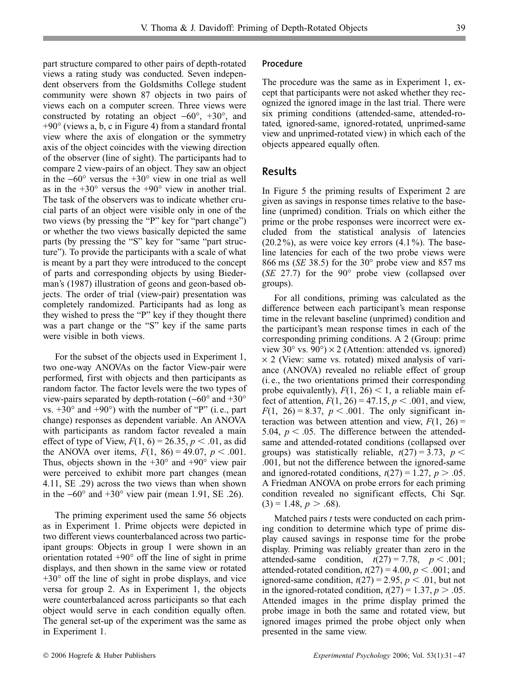part structure compared to other pairs of depth-rotated views a rating study was conducted. Seven independent observers from the Goldsmiths College student community were shown 87 objects in two pairs of views each on a computer screen. Three views were constructed by rotating an object  $-60^\circ$ ,  $+30^\circ$ , and +90∞ (views a, b, c in Figure 4) from a standard frontal view where the axis of elongation or the symmetry axis of the object coincides with the viewing direction of the observer (line of sight). The participants had to compare 2 view-pairs of an object. They saw an object in the  $-60^\circ$  versus the  $+30^\circ$  view in one trial as well as in the  $+30^{\circ}$  versus the  $+90^{\circ}$  view in another trial. The task of the observers was to indicate whether crucial parts of an object were visible only in one of the two views (by pressing the "P" key for "part change") or whether the two views basically depicted the same parts (by pressing the "S" key for "same "part structure"). To provide the participants with a scale of what is meant by a part they were introduced to the concept of parts and corresponding objects by using Biederman's (1987) illustration of geons and geon-based objects. The order of trial (view-pair) presentation was completely randomized. Participants had as long as they wished to press the "P" key if they thought there was a part change or the "S" key if the same parts were visible in both views.

For the subset of the objects used in Experiment 1, two one-way ANOVAs on the factor View-pair were performed, first with objects and then participants as random factor. The factor levels were the two types of view-pairs separated by depth-rotation ( $-60^{\circ}$  and  $+30^{\circ}$ ) vs.  $+30^{\circ}$  and  $+90^{\circ}$ ) with the number of "P" (i.e., part change) responses as dependent variable. An ANOVA with participants as random factor revealed a main effect of type of View,  $F(1, 6) = 26.35, p < .01$ , as did the ANOVA over items,  $F(1, 86) = 49.07$ ,  $p < .001$ . Thus, objects shown in the  $+30^{\circ}$  and  $+90^{\circ}$  view pair were perceived to exhibit more part changes (mean 4.11, SE .29) across the two views than when shown in the  $-60^\circ$  and  $+30^\circ$  view pair (mean 1.91, SE .26).

The priming experiment used the same 56 objects as in Experiment 1. Prime objects were depicted in two different views counterbalanced across two participant groups: Objects in group 1 were shown in an orientation rotated  $+90^{\circ}$  off the line of sight in prime displays, and then shown in the same view or rotated  $+30^{\circ}$  off the line of sight in probe displays, and vice versa for group 2. As in Experiment 1, the objects were counterbalanced across participants so that each object would serve in each condition equally often. The general set-up of the experiment was the same as in Experiment 1.

#### **Procedure**

The procedure was the same as in Experiment 1, except that participants were not asked whether they recognized the ignored image in the last trial. There were six priming conditions (attended-same, attended-rotated, ignored-same, ignored-rotated, unprimed-same view and unprimed-rotated view) in which each of the objects appeared equally often.

## **Results**

In Figure 5 the priming results of Experiment 2 are given as savings in response times relative to the baseline (unprimed) condition. Trials on which either the prime or the probe responses were incorrect were excluded from the statistical analysis of latencies  $(20.2\%)$ , as were voice key errors  $(4.1\%)$ . The baseline latencies for each of the two probe views were 866 ms (*SE* 38.5) for the 30∞ probe view and 857 ms (*SE* 27.7) for the 90∞ probe view (collapsed over groups).

For all conditions, priming was calculated as the difference between each participant's mean response time in the relevant baseline (unprimed) condition and the participant's mean response times in each of the corresponding priming conditions. A 2 (Group: prime view 30 $\degree$  vs. 90 $\degree$ ) × 2 (Attention: attended vs. ignored)  $\times$  2 (View: same vs. rotated) mixed analysis of variance (ANOVA) revealed no reliable effect of group (i. e., the two orientations primed their corresponding probe equivalently),  $F(1, 26) < 1$ , a reliable main effect of attention,  $F(1, 26) = 47.15$ ,  $p < .001$ , and view,  $F(1, 26) = 8.37, p < .001$ . The only significant interaction was between attention and view,  $F(1, 26)$  = 5.04,  $p < .05$ . The difference between the attendedsame and attended-rotated conditions (collapsed over groups) was statistically reliable,  $t(27) = 3.73$ ,  $p <$ .001, but not the difference between the ignored-same and ignored-rotated conditions,  $t(27) = 1.27$ ,  $p > .05$ . A Friedman ANOVA on probe errors for each priming condition revealed no significant effects, Chi Sqr.  $(3) = 1.48, p > .68$ ).

Matched pairs *t* tests were conducted on each priming condition to determine which type of prime display caused savings in response time for the probe display. Priming was reliably greater than zero in the attended-same condition,  $t(27) = 7.78$ ,  $p < .001$ ; attended-rotated condition,  $t(27) = 4.00, p < .001$ ; and ignored-same condition,  $t(27) = 2.95$ ,  $p < .01$ , but not in the ignored-rotated condition,  $t(27) = 1.37$ ,  $p > .05$ . Attended images in the prime display primed the probe image in both the same and rotated view, but ignored images primed the probe object only when presented in the same view.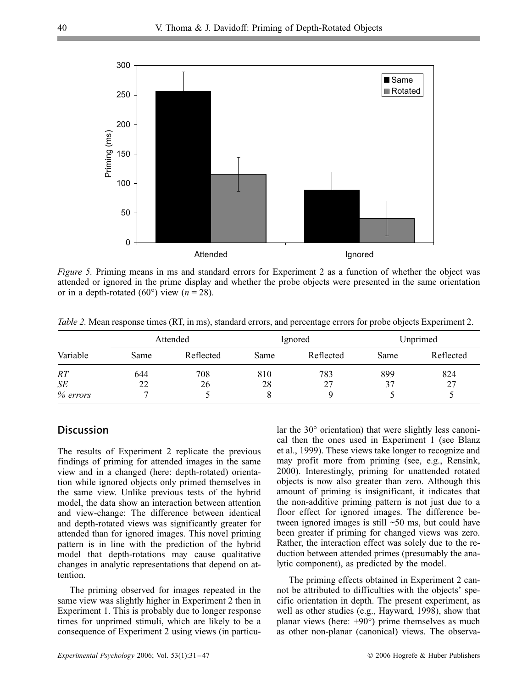

*Figure 5.* Priming means in ms and standard errors for Experiment 2 as a function of whether the object was attended or ignored in the prime display and whether the probe objects were presented in the same orientation or in a depth-rotated (60 $^{\circ}$ ) view (*n* = 28).

*Table 2.* Mean response times (RT, in ms), standard errors, and percentage errors for probe objects Experiment 2.

|          | Attended |           | Ignored |           | Unprimed |           |
|----------|----------|-----------|---------|-----------|----------|-----------|
| Variable | Same     | Reflected | Same    | Reflected | Same     | Reflected |
| RT       | 644      | 708       | 810     | 783       | 899      | 824       |
| SE       | 22       | 26        | 28      | 27        | 37       | 27        |
| % errors |          |           |         |           |          |           |

## **Discussion**

The results of Experiment 2 replicate the previous findings of priming for attended images in the same view and in a changed (here: depth-rotated) orientation while ignored objects only primed themselves in the same view. Unlike previous tests of the hybrid model, the data show an interaction between attention and view-change: The difference between identical and depth-rotated views was significantly greater for attended than for ignored images. This novel priming pattern is in line with the prediction of the hybrid model that depth-rotations may cause qualitative changes in analytic representations that depend on attention.

The priming observed for images repeated in the same view was slightly higher in Experiment 2 then in Experiment 1. This is probably due to longer response times for unprimed stimuli, which are likely to be a consequence of Experiment 2 using views (in particular the 30∞ orientation) that were slightly less canonical then the ones used in Experiment 1 (see Blanz et al., 1999). These views take longer to recognize and may profit more from priming (see, e.g., Rensink, 2000). Interestingly, priming for unattended rotated objects is now also greater than zero. Although this amount of priming is insignificant, it indicates that the non-additive priming pattern is not just due to a floor effect for ignored images. The difference between ignored images is still ~50 ms, but could have been greater if priming for changed views was zero. Rather, the interaction effect was solely due to the reduction between attended primes (presumably the analytic component), as predicted by the model.

The priming effects obtained in Experiment 2 cannot be attributed to difficulties with the objects' specific orientation in depth. The present experiment, as well as other studies (e.g., Hayward, 1998), show that planar views (here:  $+90°$ ) prime themselves as much as other non-planar (canonical) views. The observa-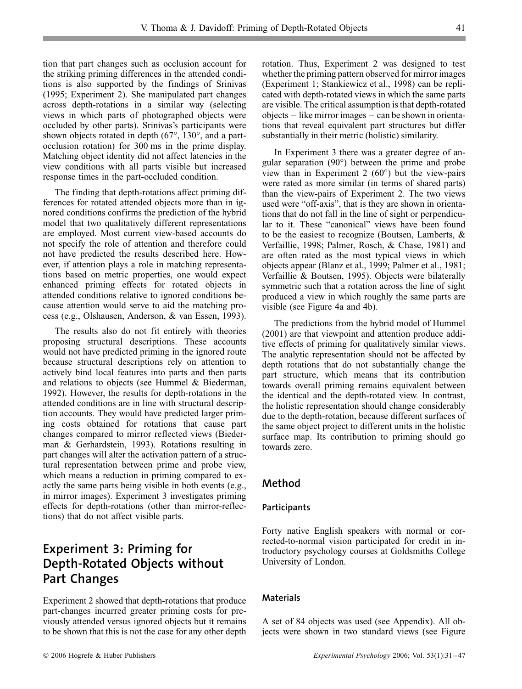tion that part changes such as occlusion account for the striking priming differences in the attended conditions is also supported by the findings of Srinivas (1995; Experiment 2). She manipulated part changes across depth-rotations in a similar way (selecting views in which parts of photographed objects were occluded by other parts). Srinivas's participants were shown objects rotated in depth (67∞, 130∞, and a partocclusion rotation) for 300 ms in the prime display. Matching object identity did not affect latencies in the view conditions with all parts visible but increased response times in the part-occluded condition.

The finding that depth-rotations affect priming differences for rotated attended objects more than in ignored conditions confirms the prediction of the hybrid model that two qualitatively different representations are employed. Most current view-based accounts do not specify the role of attention and therefore could not have predicted the results described here. However, if attention plays a role in matching representations based on metric properties, one would expect enhanced priming effects for rotated objects in attended conditions relative to ignored conditions because attention would serve to aid the matching process (e.g., Olshausen, Anderson, & van Essen, 1993).

The results also do not fit entirely with theories proposing structural descriptions. These accounts would not have predicted priming in the ignored route because structural descriptions rely on attention to actively bind local features into parts and then parts and relations to objects (see Hummel & Biederman, 1992). However, the results for depth-rotations in the attended conditions are in line with structural description accounts. They would have predicted larger priming costs obtained for rotations that cause part changes compared to mirror reflected views (Biederman & Gerhardstein, 1993). Rotations resulting in part changes will alter the activation pattern of a structural representation between prime and probe view, which means a reduction in priming compared to exactly the same parts being visible in both events (e.g., in mirror images). Experiment 3 investigates priming effects for depth-rotations (other than mirror-reflections) that do not affect visible parts.

# **Experiment 3: Priming for Depth-Rotated Objects without Part Changes**

Experiment 2 showed that depth-rotations that produce part-changes incurred greater priming costs for previously attended versus ignored objects but it remains to be shown that this is not the case for any other depth rotation. Thus, Experiment 2 was designed to test whether the priming pattern observed for mirror images (Experiment 1; Stankiewicz et al., 1998) can be replicated with depth-rotated views in which the same parts are visible. The critical assumption is that depth-rotated  $objects - like mirror images - can be shown in orienta$ tions that reveal equivalent part structures but differ substantially in their metric (holistic) similarity.

In Experiment 3 there was a greater degree of angular separation (90∞) between the prime and probe view than in Experiment 2  $(60^{\circ})$  but the view-pairs were rated as more similar (in terms of shared parts) than the view-pairs of Experiment 2. The two views used were "off-axis", that is they are shown in orientations that do not fall in the line of sight or perpendicular to it. These "canonical" views have been found to be the easiest to recognize (Boutsen, Lamberts, & Verfaillie, 1998; Palmer, Rosch, & Chase, 1981) and are often rated as the most typical views in which objects appear (Blanz et al., 1999; Palmer et al., 1981; Verfaillie & Boutsen, 1995). Objects were bilaterally symmetric such that a rotation across the line of sight produced a view in which roughly the same parts are visible (see Figure 4a and 4b).

The predictions from the hybrid model of Hummel (2001) are that viewpoint and attention produce additive effects of priming for qualitatively similar views. The analytic representation should not be affected by depth rotations that do not substantially change the part structure, which means that its contribution towards overall priming remains equivalent between the identical and the depth-rotated view. In contrast, the holistic representation should change considerably due to the depth-rotation, because different surfaces of the same object project to different units in the holistic surface map. Its contribution to priming should go towards zero.

## **Method**

#### **Participants**

Forty native English speakers with normal or corrected-to-normal vision participated for credit in introductory psychology courses at Goldsmiths College University of London.

#### **Materials**

A set of 84 objects was used (see Appendix). All objects were shown in two standard views (see Figure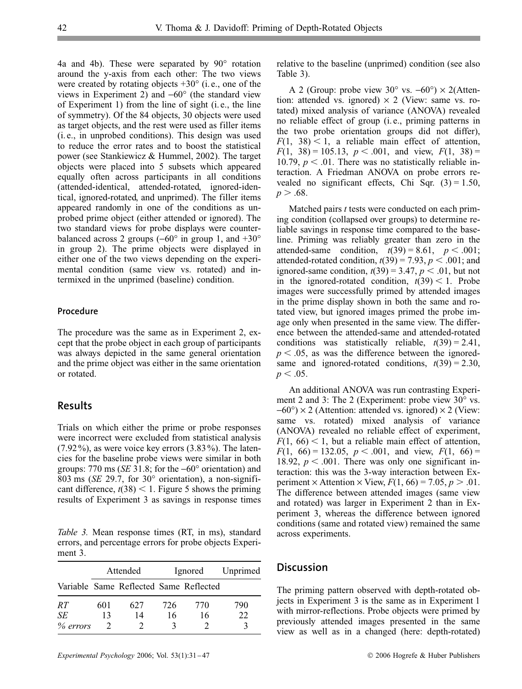4a and 4b). These were separated by 90∞ rotation around the y-axis from each other: The two views were created by rotating objects  $+30^\circ$  (i.e., one of the views in Experiment 2) and  $-60^{\circ}$  (the standard view of Experiment 1) from the line of sight (i. e., the line of symmetry). Of the 84 objects, 30 objects were used as target objects, and the rest were used as filler items (i. e., in unprobed conditions). This design was used to reduce the error rates and to boost the statistical power (see Stankiewicz & Hummel, 2002). The target objects were placed into 5 subsets which appeared equally often across participants in all conditions (attended-identical, attended-rotated, ignored-identical, ignored-rotated, and unprimed). The filler items appeared randomly in one of the conditions as unprobed prime object (either attended or ignored). The two standard views for probe displays were counterbalanced across 2 groups ( $-60°$  in group 1, and  $+30°$ in group 2). The prime objects were displayed in either one of the two views depending on the experimental condition (same view vs. rotated) and intermixed in the unprimed (baseline) condition.

#### **Procedure**

The procedure was the same as in Experiment 2, except that the probe object in each group of participants was always depicted in the same general orientation and the prime object was either in the same orientation or rotated.

## **Results**

Trials on which either the prime or probe responses were incorrect were excluded from statistical analysis (7.92%), as were voice key errors (3.83%). The latencies for the baseline probe views were similar in both groups: 770 ms (*SE* 31.8; for the -60∞ orientation) and 803 ms (*SE* 29.7, for 30∞ orientation), a non-significant difference,  $t(38)$  < 1. Figure 5 shows the priming results of Experiment 3 as savings in response times

*Table 3.* Mean response times (RT, in ms), standard errors, and percentage errors for probe objects Experiment 3.

|          | Attended |                                        |     | Ignored | Unprimed |
|----------|----------|----------------------------------------|-----|---------|----------|
|          |          | Variable Same Reflected Same Reflected |     |         |          |
| RT       | 601      | 627                                    | 726 | 770     | 790      |
| SE       | 13       | 14                                     | 16  | 16      | 22       |
| % errors |          |                                        |     |         |          |

relative to the baseline (unprimed) condition (see also Table 3).

A 2 (Group: probe view  $30^{\circ}$  vs.  $-60^{\circ}$ )  $\times$  2(Attention: attended vs. ignored)  $\times$  2 (View: same vs. rotated) mixed analysis of variance (ANOVA) revealed no reliable effect of group (i. e., priming patterns in the two probe orientation groups did not differ),  $F(1, 38) < 1$ , a reliable main effect of attention,  $F(1, 38) = 105.13, p < .001$ , and view,  $F(1, 38) =$ 10.79,  $p < 0.01$ . There was no statistically reliable interaction. A Friedman ANOVA on probe errors revealed no significant effects, Chi Sqr.  $(3) = 1.50$ ,  $p > .68$ .

Matched pairs *t* tests were conducted on each priming condition (collapsed over groups) to determine reliable savings in response time compared to the baseline. Priming was reliably greater than zero in the attended-same condition,  $t(39) = 8.61$ ,  $p < .001$ ; attended-rotated condition,  $t(39) = 7.93$ ,  $p < .001$ ; and ignored-same condition,  $t(39) = 3.47$ ,  $p < .01$ , but not in the ignored-rotated condition,  $t(39) < 1$ . Probe images were successfully primed by attended images in the prime display shown in both the same and rotated view, but ignored images primed the probe image only when presented in the same view. The difference between the attended-same and attended-rotated conditions was statistically reliable,  $t(39) = 2.41$ ,  $p < .05$ , as was the difference between the ignoredsame and ignored-rotated conditions,  $t(39) = 2.30$ ,  $p < .05$ .

An additional ANOVA was run contrasting Experiment 2 and 3: The 2 (Experiment: probe view 30 $\degree$  vs.  $-60^{\circ}$ ) × 2 (Attention: attended vs. ignored) × 2 (View: same vs. rotated) mixed analysis of variance (ANOVA) revealed no reliable effect of experiment,  $F(1, 66)$  < 1, but a reliable main effect of attention,  $F(1, 66) = 132.05, p < .001,$  and view,  $F(1, 66) =$ 18.92,  $p < .001$ . There was only one significant interaction: this was the 3-way interaction between Experiment  $\times$  Attention  $\times$  View,  $F(1, 66) = 7.05$ ,  $p > .01$ . The difference between attended images (same view and rotated) was larger in Experiment 2 than in Experiment 3, whereas the difference between ignored conditions (same and rotated view) remained the same across experiments.

## **Discussion**

The priming pattern observed with depth-rotated objects in Experiment 3 is the same as in Experiment 1 with mirror-reflections. Probe objects were primed by previously attended images presented in the same view as well as in a changed (here: depth-rotated)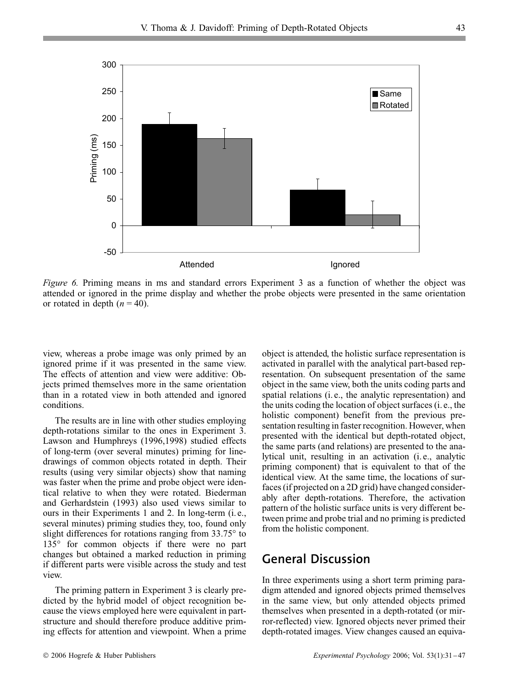

*Figure 6.* Priming means in ms and standard errors Experiment 3 as a function of whether the object was attended or ignored in the prime display and whether the probe objects were presented in the same orientation or rotated in depth  $(n = 40)$ .

view, whereas a probe image was only primed by an ignored prime if it was presented in the same view. The effects of attention and view were additive: Objects primed themselves more in the same orientation than in a rotated view in both attended and ignored conditions.

The results are in line with other studies employing depth-rotations similar to the ones in Experiment 3. Lawson and Humphreys (1996,1998) studied effects of long-term (over several minutes) priming for linedrawings of common objects rotated in depth. Their results (using very similar objects) show that naming was faster when the prime and probe object were identical relative to when they were rotated. Biederman and Gerhardstein (1993) also used views similar to ours in their Experiments 1 and 2. In long-term (i. e., several minutes) priming studies they, too, found only slight differences for rotations ranging from 33.75∞ to 135∞ for common objects if there were no part changes but obtained a marked reduction in priming if different parts were visible across the study and test view.

The priming pattern in Experiment 3 is clearly predicted by the hybrid model of object recognition because the views employed here were equivalent in partstructure and should therefore produce additive priming effects for attention and viewpoint. When a prime

object is attended, the holistic surface representation is activated in parallel with the analytical part-based representation. On subsequent presentation of the same object in the same view, both the units coding parts and spatial relations (i. e., the analytic representation) and the units coding the location of object surfaces (i. e., the holistic component) benefit from the previous presentation resulting in faster recognition. However, when presented with the identical but depth-rotated object, the same parts (and relations) are presented to the analytical unit, resulting in an activation (i. e., analytic priming component) that is equivalent to that of the identical view. At the same time, the locations of surfaces (if projected on a 2D grid) have changed considerably after depth-rotations. Therefore, the activation pattern of the holistic surface units is very different between prime and probe trial and no priming is predicted from the holistic component.

# **General Discussion**

In three experiments using a short term priming paradigm attended and ignored objects primed themselves in the same view, but only attended objects primed themselves when presented in a depth-rotated (or mirror-reflected) view. Ignored objects never primed their depth-rotated images. View changes caused an equiva-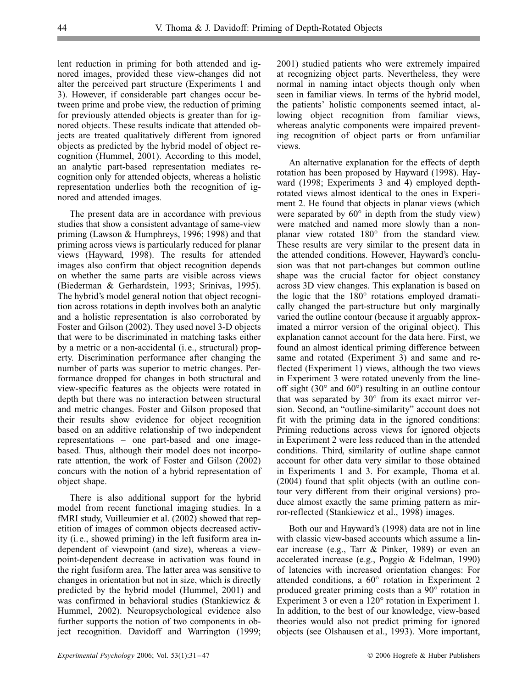lent reduction in priming for both attended and ignored images, provided these view-changes did not alter the perceived part structure (Experiments 1 and 3). However, if considerable part changes occur between prime and probe view, the reduction of priming for previously attended objects is greater than for ignored objects. These results indicate that attended objects are treated qualitatively different from ignored objects as predicted by the hybrid model of object recognition (Hummel, 2001). According to this model, an analytic part-based representation mediates recognition only for attended objects, whereas a holistic representation underlies both the recognition of ignored and attended images.

The present data are in accordance with previous studies that show a consistent advantage of same-view priming (Lawson & Humphreys, 1996; 1998) and that priming across views is particularly reduced for planar views (Hayward, 1998). The results for attended images also confirm that object recognition depends on whether the same parts are visible across views (Biederman & Gerhardstein, 1993; Srinivas, 1995). The hybrid's model general notion that object recognition across rotations in depth involves both an analytic and a holistic representation is also corroborated by Foster and Gilson (2002). They used novel 3-D objects that were to be discriminated in matching tasks either by a metric or a non-accidental (i. e., structural) property. Discrimination performance after changing the number of parts was superior to metric changes. Performance dropped for changes in both structural and view-specific features as the objects were rotated in depth but there was no interaction between structural and metric changes. Foster and Gilson proposed that their results show evidence for object recognition based on an additive relationship of two independent representations – one part-based and one imagebased. Thus, although their model does not incorporate attention, the work of Foster and Gilson (2002) concurs with the notion of a hybrid representation of object shape.

There is also additional support for the hybrid model from recent functional imaging studies. In a fMRI study, Vuilleumier et al. (2002) showed that repetition of images of common objects decreased activity (i. e., showed priming) in the left fusiform area independent of viewpoint (and size), whereas a viewpoint-dependent decrease in activation was found in the right fusiform area. The latter area was sensitive to changes in orientation but not in size, which is directly predicted by the hybrid model (Hummel, 2001) and was confirmed in behavioral studies (Stankiewicz & Hummel, 2002). Neuropsychological evidence also further supports the notion of two components in object recognition. Davidoff and Warrington (1999;

2001) studied patients who were extremely impaired at recognizing object parts. Nevertheless, they were normal in naming intact objects though only when seen in familiar views. In terms of the hybrid model, the patients' holistic components seemed intact, allowing object recognition from familiar views, whereas analytic components were impaired preventing recognition of object parts or from unfamiliar views.

An alternative explanation for the effects of depth rotation has been proposed by Hayward (1998). Hayward (1998; Experiments 3 and 4) employed depthrotated views almost identical to the ones in Experiment 2. He found that objects in planar views (which were separated by  $60^{\circ}$  in depth from the study view) were matched and named more slowly than a nonplanar view rotated 180∞ from the standard view. These results are very similar to the present data in the attended conditions. However, Hayward's conclusion was that not part-changes but common outline shape was the crucial factor for object constancy across 3D view changes. This explanation is based on the logic that the 180∞ rotations employed dramatically changed the part-structure but only marginally varied the outline contour (because it arguably approximated a mirror version of the original object). This explanation cannot account for the data here. First, we found an almost identical priming difference between same and rotated (Experiment 3) and same and reflected (Experiment 1) views, although the two views in Experiment 3 were rotated unevenly from the lineoff sight  $(30^{\circ}$  and  $60^{\circ})$  resulting in an outline contour that was separated by 30∞ from its exact mirror version. Second, an "outline-similarity" account does not fit with the priming data in the ignored conditions: Priming reductions across views for ignored objects in Experiment 2 were less reduced than in the attended conditions. Third, similarity of outline shape cannot account for other data very similar to those obtained in Experiments 1 and 3. For example, Thoma et al. (2004) found that split objects (with an outline contour very different from their original versions) produce almost exactly the same priming pattern as mirror-reflected (Stankiewicz et al., 1998) images.

Both our and Hayward's (1998) data are not in line with classic view-based accounts which assume a linear increase (e.g., Tarr & Pinker, 1989) or even an accelerated increase (e.g., Poggio & Edelman, 1990) of latencies with increased orientation changes: For attended conditions, a 60∞ rotation in Experiment 2 produced greater priming costs than a 90∞ rotation in Experiment 3 or even a 120∞ rotation in Experiment 1. In addition, to the best of our knowledge, view-based theories would also not predict priming for ignored objects (see Olshausen et al., 1993). More important,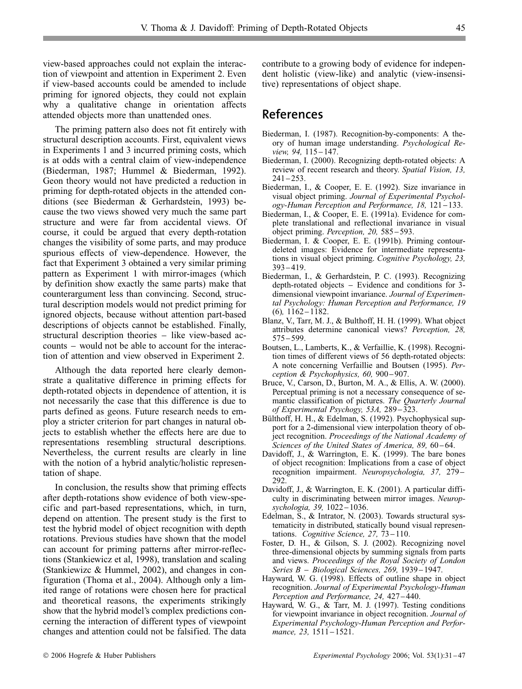view-based approaches could not explain the interaction of viewpoint and attention in Experiment 2. Even if view-based accounts could be amended to include priming for ignored objects, they could not explain why a qualitative change in orientation affects attended objects more than unattended ones.

The priming pattern also does not fit entirely with structural description accounts. First, equivalent views in Experiments 1 and 3 incurred priming costs, which is at odds with a central claim of view-independence (Biederman, 1987; Hummel & Biederman, 1992). Geon theory would not have predicted a reduction in priming for depth-rotated objects in the attended conditions (see Biederman & Gerhardstein, 1993) because the two views showed very much the same part structure and were far from accidental views. Of course, it could be argued that every depth-rotation changes the visibility of some parts, and may produce spurious effects of view-dependence. However, the fact that Experiment 3 obtained a very similar priming pattern as Experiment 1 with mirror-images (which by definition show exactly the same parts) make that counterargument less than convincing. Second, structural description models would not predict priming for ignored objects, because without attention part-based descriptions of objects cannot be established. Finally, structural description theories – like view-based accounts – would not be able to account for the interaction of attention and view observed in Experiment 2.

Although the data reported here clearly demonstrate a qualitative difference in priming effects for depth-rotated objects in dependence of attention, it is not necessarily the case that this difference is due to parts defined as geons. Future research needs to employ a stricter criterion for part changes in natural objects to establish whether the effects here are due to representations resembling structural descriptions. Nevertheless, the current results are clearly in line with the notion of a hybrid analytic/holistic representation of shape.

In conclusion, the results show that priming effects after depth-rotations show evidence of both view-specific and part-based representations, which, in turn, depend on attention. The present study is the first to test the hybrid model of object recognition with depth rotations. Previous studies have shown that the model can account for priming patterns after mirror-reflections (Stankiewicz et al, 1998), translation and scaling (Stankiewizc & Hummel, 2002), and changes in configuration (Thoma et al., 2004). Although only a limited range of rotations were chosen here for practical and theoretical reasons, the experiments strikingly show that the hybrid model's complex predictions concerning the interaction of different types of viewpoint changes and attention could not be falsified. The data contribute to a growing body of evidence for independent holistic (view-like) and analytic (view-insensitive) representations of object shape.

## **References**

- Biederman, I. (1987). Recognition-by-components: A theory of human image understanding. *Psychological Review, 94, 115*–147.
- Biederman, I. (2000). Recognizing depth-rotated objects: A review of recent research and theory. *Spatial Vision, 13,*  $241 - 253$ .
- Biederman, I., & Cooper, E. E. (1992). Size invariance in visual object priming. *Journal of Experimental Psychology-Human Perception and Performance, 18, 121-133.*
- Biederman, I., & Cooper, E. E. (1991a). Evidence for complete translational and reflectional invariance in visual object priming. *Perception*, 20, 585–593.
- Biederman, I. & Cooper, E. E. (1991b). Priming contourdeleted images: Evidence for intermediate representations in visual object priming. *Cognitive Psychology, 23,*  $393 - 419.$
- Biederman, I., & Gerhardstein, P. C. (1993). Recognizing  $depth-rotated$  objects  $-$  Evidence and conditions for 3dimensional viewpoint invariance. *Journal of Experimental Psychology: Human Perception and Performance, 19*  $(6)$ ,  $1162 - 1182$ .
- Blanz, V., Tarr, M. J., & Bulthoff, H. H. (1999). What object attributes determine canonical views? *Perception, 28,*  $575 - 599.$
- Boutsen, L., Lamberts, K., & Verfaillie, K. (1998). Recognition times of different views of 56 depth-rotated objects: A note concerning Verfaillie and Boutsen (1995). *Perception & Psychophysics, 60, 900-907.*
- Bruce, V., Carson, D., Burton, M. A., & Ellis, A. W. (2000). Perceptual priming is not a necessary consequence of semantic classification of pictures. *The Quarterly Journal of Experimental Psychogy, 53A, 289-323.*
- Bülthoff, H. H., & Edelman, S. (1992). Psychophysical support for a 2-dimensional view interpolation theory of object recognition. *Proceedings of the National Academy of Sciences of the United States of America, 89, 60-64.*
- Davidoff, J., & Warrington, E. K. (1999). The bare bones of object recognition: Implications from a case of object recognition impairment. *Neuropsychologia*, 37, 279 – 292.
- Davidoff, J., & Warrington, E. K. (2001). A particular difficulty in discriminating between mirror images. *Neuropsychologia, 39, 1022*–1036.
- Edelman, S., & Intrator, N. (2003). Towards structural systematicity in distributed, statically bound visual representations. *Cognitive Science*, 27, 73–110.
- Foster, D. H., & Gilson, S. J. (2002). Recognizing novel three-dimensional objects by summing signals from parts and views. *Proceedings of the Royal Society of London Series B – Biological Sciences, 269, 1939–1947.*
- Hayward, W. G. (1998). Effects of outline shape in object recognition. *Journal of Experimental Psychology-Human Perception and Performance, 24, 427–440.*
- Hayward, W. G., & Tarr, M. J. (1997). Testing conditions for viewpoint invariance in object recognition. *Journal of Experimental Psychology-Human Perception and Performance, 23, 1511-1521.*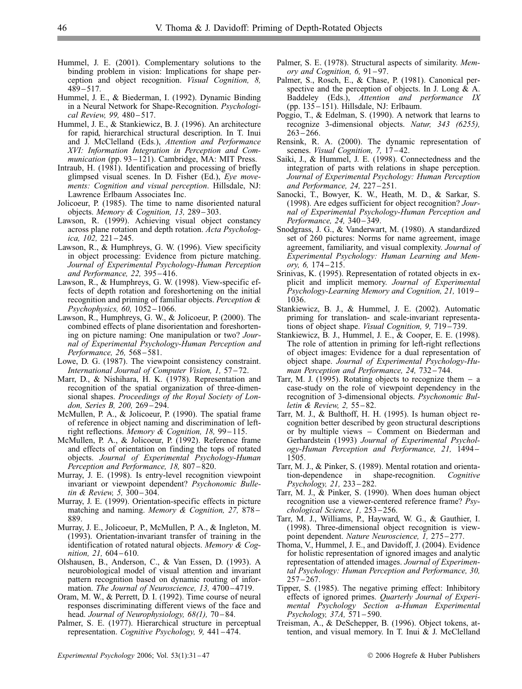- Hummel, J. E. (2001). Complementary solutions to the binding problem in vision: Implications for shape perception and object recognition. *Visual Cognition, 8,*  $489 - 517.$
- Hummel, J. E., & Biederman, I. (1992). Dynamic Binding in a Neural Network for Shape-Recognition. *Psychological Review, 99, 480-517.*
- Hummel, J. E., & Stankiewicz, B. J. (1996). An architecture for rapid, hierarchical structural description. In T. Inui and J. McClelland (Eds.), *Attention and Performance XVI: Information Integration in Perception and Communication* (pp. 93–121). Cambridge, MA: MIT Press.
- Intraub, H. (1981). Identification and processing of briefly glimpsed visual scenes. In D. Fisher (Ed.), *Eye movements: Cognition and visual perception*. Hillsdale, NJ: Lawrence Erlbaum Associates Inc.
- Jolicoeur, P. (1985). The time to name disoriented natural objects. *Memory & Cognition, 13, 289-303.*
- Lawson, R. (1999). Achieving visual object constancy across plane rotation and depth rotation. *Acta Psychologica, 102, 221-245.*
- Lawson, R., & Humphreys, G. W. (1996). View specificity in object processing: Evidence from picture matching. *Journal of Experimental Psychology-Human Perception* and Performance, 22, 395-416.
- Lawson, R., & Humphreys, G. W. (1998). View-specific effects of depth rotation and foreshortening on the initial recognition and priming of familiar objects. *Perception & Psychophysics, 60, 1052–1066.*
- Lawson, R., Humphreys, G. W., & Jolicoeur, P. (2000). The combined effects of plane disorientation and foreshortening on picture naming: One manipulation or two? *Journal of Experimental Psychology-Human Perception and Performance, 26, 568–581.*
- Lowe, D. G. (1987). The viewpoint consistency constraint. *International Journal of Computer Vision, 1, 57-72.*
- Marr, D., & Nishihara, H. K. (1978). Representation and recognition of the spatial organization of three-dimensional shapes. *Proceedings of the Royal Society of Lon*don, Series B, 200, 269-294.
- McMullen, P. A., & Jolicoeur, P. (1990). The spatial frame of reference in object naming and discrimination of leftright reflections. *Memory & Cognition, 18, 99-115.*
- McMullen, P. A., & Jolicoeur, P. (1992). Reference frame and effects of orientation on finding the tops of rotated objects. *Journal of Experimental Psychology-Human Perception and Performance, 18, 807*-820.
- Murray, J. E. (1998). Is entry-level recognition viewpoint invariant or viewpoint dependent? *Psychonomic Bulletin & Review, 5, 300-304.*
- Murray, J. E. (1999). Orientation-specific effects in picture matching and naming. *Memory & Cognition*, 27, 878 – 889.
- Murray, J. E., Jolicoeur, P., McMullen, P. A., & Ingleton, M. (1993). Orientation-invariant transfer of training in the identification of rotated natural objects. *Memory & Cognition, 21, 604*–610.
- Olshausen, B., Anderson, C., & Van Essen, D. (1993). A neurobiological model of visual attention and invariant pattern recognition based on dynamic routing of information. *The Journal of Neuroscience*, 13, 4700-4719.
- Oram, M. W., & Perrett, D. I. (1992). Time course of neural responses discriminating different views of the face and head. *Journal of Neurophysiology, 68(1)*, 70–84.
- Palmer, S. E. (1977). Hierarchical structure in perceptual representation. *Cognitive Psychology*, 9, 441-474.
- Palmer, S. E. (1978). Structural aspects of similarity. *Memory and Cognition, 6, 91-97.*
- Palmer, S., Rosch, E., & Chase, P. (1981). Canonical perspective and the perception of objects. In J. Long & A. Baddeley (Eds.), *Attention and performance IX* (pp. 135–151). Hillsdale, NJ: Erlbaum.
- Poggio, T., & Edelman, S. (1990). A network that learns to recognize 3-dimensional objects. *Natur, 343 (6255),*  $263 - 266.$
- Rensink, R. A. (2000). The dynamic representation of scenes. *Visual Cognition*, 7, 17–42.
- Saiki, J., & Hummel, J. E. (1998). Connectedness and the integration of parts with relations in shape perception. *Journal of Experimental Psychology: Human Perception* and Performance, 24, 227–251.
- Sanocki, T., Bowyer, K. W., Heath, M. D., & Sarkar, S. (1998). Are edges sufficient for object recognition? *Journal of Experimental Psychology-Human Perception and Performance, 24, 340-349.*
- Snodgrass, J. G., & Vanderwart, M. (1980). A standardized set of 260 pictures: Norms for name agreement, image agreement, familiarity, and visual complexity. *Journal of Experimental Psychology: Human Learning and Memory, 6,* 174–215.
- Srinivas, K. (1995). Representation of rotated objects in explicit and implicit memory. *Journal of Experimental* **Psychology-Learning Memory and Cognition, 21, 1019** 1036.
- Stankiewicz, B. J., & Hummel, J. E. (2002). Automatic priming for translation- and scale-invariant representations of object shape. *Visual Cognition*, 9, 719–739.
- Stankiewicz, B. J., Hummel, J. E., & Cooper, E. E. (1998). The role of attention in priming for left-right reflections of object images: Evidence for a dual representation of object shape. *Journal of Experimental Psychology-Human Perception and Performance, 24, 732-744.*
- Tarr, M. J. (1995). Rotating objects to recognize them  $-$  a case-study on the role of viewpoint dependency in the recognition of 3-dimensional objects. *Psychonomic Bulletin & Review, 2, 55-82.*
- Tarr, M. J., & Bulthoff, H. H. (1995). Is human object recognition better described by geon structural descriptions or by multiple views – Comment on Biederman and Gerhardstein (1993) *Journal of Experimental Psychology-Human Perception and Performance, 21,* 1494– 1505.
- Tarr, M. J., & Pinker, S. (1989). Mental rotation and orientation-dependence in shape-recognition. *Cognitive Psychology, 21, 233-282.*
- Tarr, M. J., & Pinker, S. (1990). When does human object recognition use a viewer-centered reference frame? *Psychological Science, 1, 253-256.*
- Tarr, M. J., Williams, P., Hayward, W. G., & Gauthier, I. (1998). Three-dimensional object recognition is viewpoint dependent. *Nature Neuroscience*, 1, 275–277.
- Thoma, V., Hummel, J. E., and Davidoff, J. (2004). Evidence for holistic representation of ignored images and analytic representation of attended images. *Journal of Experimental Psychology: Human Perception and Performance, 30,*  $257 - 267.$
- Tipper, S. (1985). The negative priming effect: Inhibitory effects of ignored primes. *Quarterly Journal of Experimental Psychology Section a-Human Experimental Psychology, 37A, 571-590.*
- Treisman, A., & DeSchepper, B. (1996). Object tokens, attention, and visual memory. In T. Inui & J. McClelland